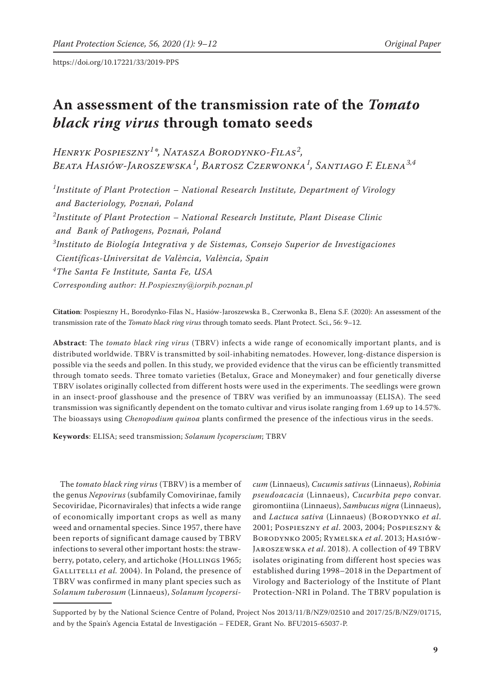https://doi.org/10.17221/33/2019-PPS

# **An assessment of the transmission rate of the** *Tomato black ring virus* **through tomato seeds**

*Henryk Pospieszny<sup>1</sup> \*, Natasza Borodynko-Filas<sup>2</sup> , Beata Hasiów-Jaroszewska<sup>1</sup> , Bartosz Czerwonka<sup>1</sup> , Santiago F. Elena3,4*

*1 Institute of Plant Protection – National Research Institute, Department of Virology and Bacteriology, Poznań, Poland 2 Institute of Plant Protection – National Research Institute, Plant Disease Clinic and Bank of Pathogens, Poznań, Poland 3 Instituto de Biología Integrativa y de Sistemas, Consejo Superior de Investigaciones Científicas-Universitat de València, València, Spain 4 The Santa Fe Institute, Santa Fe, USA Corresponding author: H.Pospieszny@iorpib.poznan.pl*

**Citation**: Pospieszny H., Borodynko-Filas N., Hasiów-Jaroszewska B., Czerwonka B., Elena S.F. (2020): An assessment of the transmission rate of the *Tomato black ring virus* through tomato seeds. Plant Protect. Sci., 56: 9–12.

**Abstract**: The *tomato black ring virus* (TBRV) infects a wide range of economically important plants, and is distributed worldwide. TBRV is transmitted by soil-inhabiting nematodes. However, long-distance dispersion is possible via the seeds and pollen. In this study, we provided evidence that the virus can be efficiently transmitted through tomato seeds. Three tomato varieties (Betalux, Grace and Moneymaker) and four genetically diverse TBRV isolates originally collected from different hosts were used in the experiments. The seedlings were grown in an insect-proof glasshouse and the presence of TBRV was verified by an immunoassay (ELISA). The seed transmission was significantly dependent on the tomato cultivar and virus isolate ranging from 1.69 up to 14.57%. The bioassays using *Chenopodium quinoa* plants confirmed the presence of the infectious virus in the seeds.

**Keywords**: ELISA; seed transmission; *Solanum lycoperscium*; TBRV

The *tomato black ring virus* (TBRV) is a member of the genus *Nepovirus* (subfamily Comovirinae, family Secoviridae, Picornavirales) that infects a wide range of economically important crops as well as many weed and ornamental species. Since 1957, there have been reports of significant damage caused by TBRV infections to several other important hosts: the strawberry, potato, celery, and artichoke (HOLLINGS 1965; GALLITELLI *et al.* 2004). In Poland, the presence of TBRV was confirmed in many plant species such as *Solanum tuberosum* (Linnaeus), *Solanum lycopersi-*

*cum* (Linnaeus)*, Cucumis sativus* (Linnaeus), *Robinia pseudoacacia* (Linnaeus), *Cucurbita pepo* convar. giromontiina (Linnaeus), *Sambucus nigra* (Linnaeus), and *Lactuca sativa* (Linnaeus) (Borodynko *et al*. 2001; Pospieszny *et al*. 2003, 2004; Pospieszny & Borodynko 2005; Rymelska *et al*. 2013; Hasiów-Jaroszewska *et al*. 2018). A collection of 49 TBRV isolates originating from different host species was established during 1998–2018 in the Department of Virology and Bacteriology of the Institute of Plant Protection-NRI in Poland. The TBRV population is

Supported by by the National Science Centre of Poland, Project Nos 2013/11/B/NZ9/02510 and 2017/25/B/NZ9/01715, and by the Spain's Agencia Estatal de Investigación – FEDER, Grant No. BFU2015-65037-P.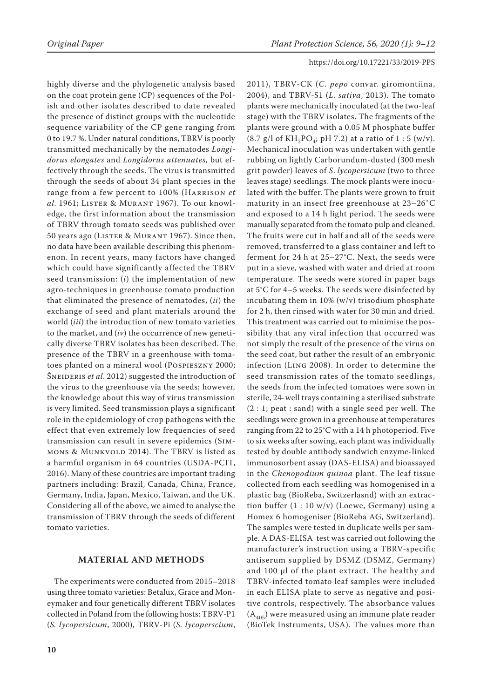#### https://doi.org/10.17221/33/2019-PPS

highly diverse and the phylogenetic analysis based on the coat protein gene (CP) sequences of the Polish and other isolates described to date revealed the presence of distinct groups with the nucleotide sequence variability of the CP gene ranging from 0 to 19.7 %. Under natural conditions, TBRV is poorly transmitted mechanically by the nematodes *Longidorus elongates* and *Longidorus attenuates*, but effectively through the seeds. The virus is transmitted through the seeds of about 34 plant species in the range from a few percent to 100% (Harrison *et al*. 1961; Lister & Murant 1967). To our knowledge, the first information about the transmission of TBRV through tomato seeds was published over 50 years ago (Lister & Murant 1967). Since then, no data have been available describing this phenomenon. In recent years, many factors have changed which could have significantly affected the TBRV seed transmission: (*i*) the implementation of new agro-techniques in greenhouse tomato production that eliminated the presence of nematodes, (*ii*) the exchange of seed and plant materials around the world (*iii*) the introduction of new tomato varieties to the market, and (*iv*) the occurrence of new genetically diverse TBRV isolates has been described. The presence of the TBRV in a greenhouse with tomatoes planted on a mineral wool (Pospieszny 2000; ŠNEIDERIS et al. 2012) suggested the introduction of the virus to the greenhouse via the seeds; however, the knowledge about this way of virus transmission is very limited. Seed transmission plays a significant role in the epidemiology of crop pathogens with the effect that even extremely low frequencies of seed transmission can result in severe epidemics (Simmons & Munkvold 2014). The TBRV is listed as a harmful organism in 64 countries (USDA-PCIT, 2016). Many of these countries are important trading partners including: Brazil, Canada, China, France, Germany, India, Japan, Mexico, Taiwan, and the UK. Considering all of the above, we aimed to analyse the transmission of TBRV through the seeds of different tomato varieties.

## **MATERIAL AND METHODS**

The experiments were conducted from 2015–2018 using three tomato varieties: Betalux, Grace and Moneymaker and four genetically different TBRV isolates collected in Poland from the following hosts: TBRV-P1 (*S. lycopersicum*, 2000), TBRV-Pi (*S. lycoperscium*, 2011), TBRV-CK (*C. pepo* convar. giromontiina, 2004), and TBRV-S1 (*L. sativa*, 2013). The tomato plants were mechanically inoculated (at the two-leaf stage) with the TBRV isolates. The fragments of the plants were ground with a 0.05 M phosphate buffer  $(8.7 \text{ g/l of KH}_{2}PO_{4}$ ; pH 7.2) at a ratio of 1 : 5 (w/v). Mechanical inoculation was undertaken with gentle rubbing on lightly Carborundum-dusted (300 mesh grit powder) leaves of *S*. *lycopersicum* (two to three leaves stage) seedlings. The mock plants were inoculated with the buffer. The plants were grown to fruit maturity in an insect free greenhouse at 23–26˚C and exposed to a 14 h light period. The seeds were manually separated from the tomato pulp and cleaned. The fruits were cut in half and all of the seeds were removed, transferred to a glass container and left to ferment for 24 h at 25–27°C. Next, the seeds were put in a sieve, washed with water and dried at room temperature. The seeds were stored in paper bags at 5°C for 4–5 weeks. The seeds were disinfected by incubating them in 10% (w/v) trisodium phosphate for 2 h, then rinsed with water for 30 min and dried. This treatment was carried out to minimise the possibility that any viral infection that occurred was not simply the result of the presence of the virus on the seed coat, but rather the result of an embryonic infection (Ling 2008). In order to determine the seed transmission rates of the tomato seedlings, the seeds from the infected tomatoes were sown in sterile, 24-well trays containing a sterilised substrate (2 : 1; peat : sand) with a single seed per well. The seedlings were grown in a greenhouse at temperatures ranging from 22 to 25°C with a 14 h photoperiod. Five to six weeks after sowing, each plant was individually tested by double antibody sandwich enzyme-linked immunosorbent assay (DAS-ELISA) and bioassayed in the *Chenopodium quinoa* plant. The leaf tissue collected from each seedling was homogenised in a plastic bag (BioReba, Switzerlasnd) with an extraction buffer  $(1:10 \text{ w/v})$  (Loewe, Germany) using a Homex 6 homogeniser (BioReba AG, Switzerland). The samples were tested in duplicate wells per sample. A DAS-ELISA test was carried out following the manufacturer's instruction using a TBRV-specific antiserum supplied by DSMZ (DSMZ, Germany) and 100 µl of the plant extract. The healthy and TBRV-infected tomato leaf samples were included in each ELISA plate to serve as negative and positive controls, respectively. The absorbance values  $(A_{405})$  were measured using an immune plate reader (BioTek Instruments, USA). The values more than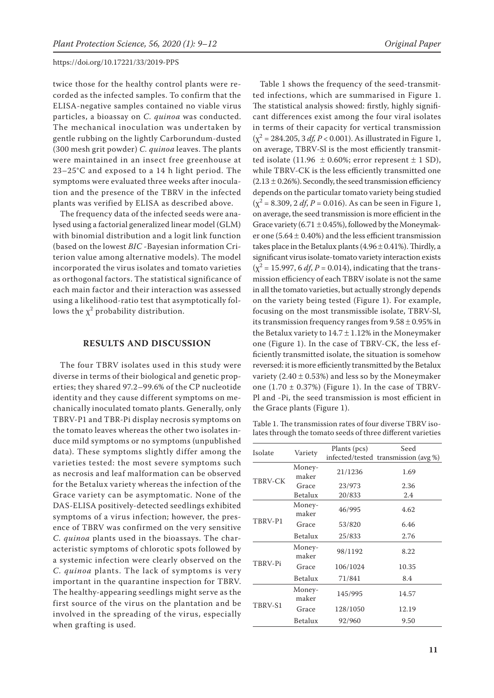#### https://doi.org/10.17221/33/2019-PPS

twice those for the healthy control plants were recorded as the infected samples. To confirm that the ELISA-negative samples contained no viable virus particles, a bioassay on *C. quinoa* was conducted. The mechanical inoculation was undertaken by gentle rubbing on the lightly Carborundum-dusted (300 mesh grit powder) *C. quinoa* leaves. The plants were maintained in an insect free greenhouse at 23–25°C and exposed to a 14 h light period. The symptoms were evaluated three weeks after inoculation and the presence of the TBRV in the infected plants was verified by ELISA as described above.

The frequency data of the infected seeds were analysed using a factorial generalized linear model (GLM) with binomial distribution and a logit link function (based on the lowest *BIC* -Bayesian information Criterion value among alternative models). The model incorporated the virus isolates and tomato varieties as orthogonal factors. The statistical significance of each main factor and their interaction was assessed using a likelihood-ratio test that asymptotically follows the  $\chi^2$  probability distribution.

### **RESULTS AND DISCUSSION**

The four TBRV isolates used in this study were diverse in terms of their biological and genetic properties; they shared 97.2–99.6% of the CP nucleotide identity and they cause different symptoms on mechanically inoculated tomato plants. Generally, only TBRV-P1 and TBR-Pi display necrosis symptoms on the tomato leaves whereas the other two isolates induce mild symptoms or no symptoms (unpublished data). These symptoms slightly differ among the varieties tested: the most severe symptoms such as necrosis and leaf malformation can be observed for the Betalux variety whereas the infection of the Grace variety can be asymptomatic. None of the DAS-ELISA positively-detected seedlings exhibited symptoms of a virus infection; however, the presence of TBRV was confirmed on the very sensitive *C. quinoa* plants used in the bioassays. The characteristic symptoms of chlorotic spots followed by a systemic infection were clearly observed on the *C. quinoa* plants. The lack of symptoms is very important in the quarantine inspection for TBRV. The healthy-appearing seedlings might serve as the first source of the virus on the plantation and be involved in the spreading of the virus, especially when grafting is used.

Table 1 shows the frequency of the seed-transmitted infections, which are summarised in Figure 1. The statistical analysis showed: firstly, highly significant differences exist among the four viral isolates in terms of their capacity for vertical transmission  $(x^2 = 284.205, 3 \, df, P < 0.001)$ . As illustrated in Figure 1, on average, TBRV-Sl is the most efficiently transmitted isolate (11.96  $\pm$  0.60%; error represent  $\pm$  1 SD), while TBRV-CK is the less efficiently transmitted one  $(2.13 \pm 0.26\%)$ . Secondly, the seed transmission efficiency depends on the particular tomato variety being studied  $(\chi^2 = 8.309, 2 \, df, P = 0.016)$ . As can be seen in Figure 1, on average, the seed transmission is more efficient in the Grace variety (6.71  $\pm$  0.45%), followed by the Moneymaker one (5.64  $\pm$  0.40%) and the less efficient transmission takes place in the Betalux plants  $(4.96 \pm 0.41\%)$ . Thirdly, a significant virus isolate-tomato variety interaction exists  $(\chi^2 = 15.997, 6 \, df, P = 0.014)$ , indicating that the transmission efficiency of each TBRV isolate is not the same in all the tomato varieties, but actually strongly depends on the variety being tested (Figure 1). For example, focusing on the most transmissible isolate, TBRV-Sl, its transmission frequency ranges from  $9.58 \pm 0.95\%$  in the Betalux variety to  $14.7 \pm 1.12\%$  in the Moneymaker one (Figure 1). In the case of TBRV-CK, the less efficiently transmitted isolate, the situation is somehow reversed: it is more efficiently transmitted by the Betalux variety  $(2.40 \pm 0.53%)$  and less so by the Moneymaker one  $(1.70 \pm 0.37%)$  (Figure 1). In the case of TBRV-Pl and -Pi, the seed transmission is most efficient in the Grace plants (Figure 1).

Table 1. The transmission rates of four diverse TBRV isolates through the tomato seeds of three different varieties

| Isolate | Variety         | Plants (pcs) | Seed                                 |
|---------|-----------------|--------------|--------------------------------------|
|         |                 |              | infected/tested transmission (avg %) |
| TBRV-CK | Money-<br>maker | 21/1236      | 1.69                                 |
|         | Grace           | 23/973       | 2.36                                 |
|         | <b>Betalux</b>  | 20/833       | 2.4                                  |
| TBRV-P1 | Money-<br>maker | 46/995       | 4.62                                 |
|         | Grace           | 53/820       | 6.46                                 |
|         | Betalux         | 25/833       | 2.76                                 |
| TBRV-Pi | Money-<br>maker | 98/1192      | 8.22                                 |
|         | Grace           | 106/1024     | 10.35                                |
|         | Betalux         | 71/841       | 8.4                                  |
| TBRV-S1 | Money-<br>maker | 145/995      | 14.57                                |
|         | Grace           | 128/1050     | 12.19                                |
|         | Betalux         | 92/960       | 9.50                                 |